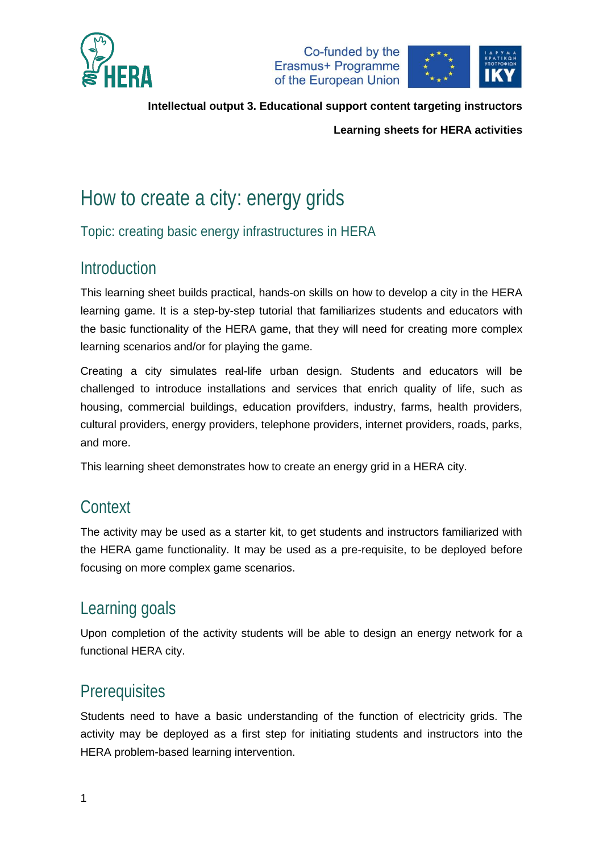



**Learning sheets for HERA activities**

# How to create a city: energy grids

Topic: creating basic energy infrastructures in HERA

# Introduction

This learning sheet builds practical, hands-on skills on how to develop a city in the HERA learning game. It is a step-by-step tutorial that familiarizes students and educators with the basic functionality of the HERA game, that they will need for creating more complex learning scenarios and/or for playing the game.

Creating a city simulates real-life urban design. Students and educators will be challenged to introduce installations and services that enrich quality of life, such as housing, commercial buildings, education provifders, industry, farms, health providers, cultural providers, energy providers, telephone providers, internet providers, roads, parks, and more.

This learning sheet demonstrates how to create an energy grid in a HERA city.

# **Context**

The activity may be used as a starter kit, to get students and instructors familiarized with the HERA game functionality. It may be used as a pre-requisite, to be deployed before focusing on more complex game scenarios.

# Learning goals

Upon completion of the activity students will be able to design an energy network for a functional HERA city.

## **Prerequisites**

Students need to have a basic understanding of the function of electricity grids. The activity may be deployed as a first step for initiating students and instructors into the HERA problem-based learning intervention.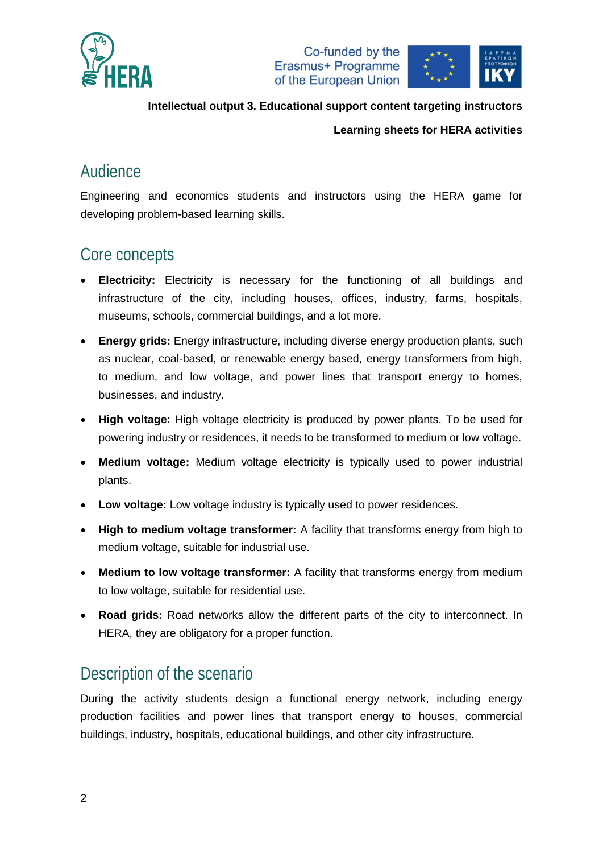





#### **Learning sheets for HERA activities**

### Audience

Engineering and economics students and instructors using the HERA game for developing problem-based learning skills.

# Core concepts

- **Electricity:** Electricity is necessary for the functioning of all buildings and infrastructure of the city, including houses, offices, industry, farms, hospitals, museums, schools, commercial buildings, and a lot more.
- **Energy grids:** Energy infrastructure, including diverse energy production plants, such as nuclear, coal-based, or renewable energy based, energy transformers from high, to medium, and low voltage, and power lines that transport energy to homes, businesses, and industry.
- **High voltage:** High voltage electricity is produced by power plants. To be used for powering industry or residences, it needs to be transformed to medium or low voltage.
- **Medium voltage:** Medium voltage electricity is typically used to power industrial plants.
- **Low voltage:** Low voltage industry is typically used to power residences.
- **High to medium voltage transformer:** A facility that transforms energy from high to medium voltage, suitable for industrial use.
- **Medium to low voltage transformer:** A facility that transforms energy from medium to low voltage, suitable for residential use.
- **Road grids:** Road networks allow the different parts of the city to interconnect. In HERA, they are obligatory for a proper function.

## Description of the scenario

During the activity students design a functional energy network, including energy production facilities and power lines that transport energy to houses, commercial buildings, industry, hospitals, educational buildings, and other city infrastructure.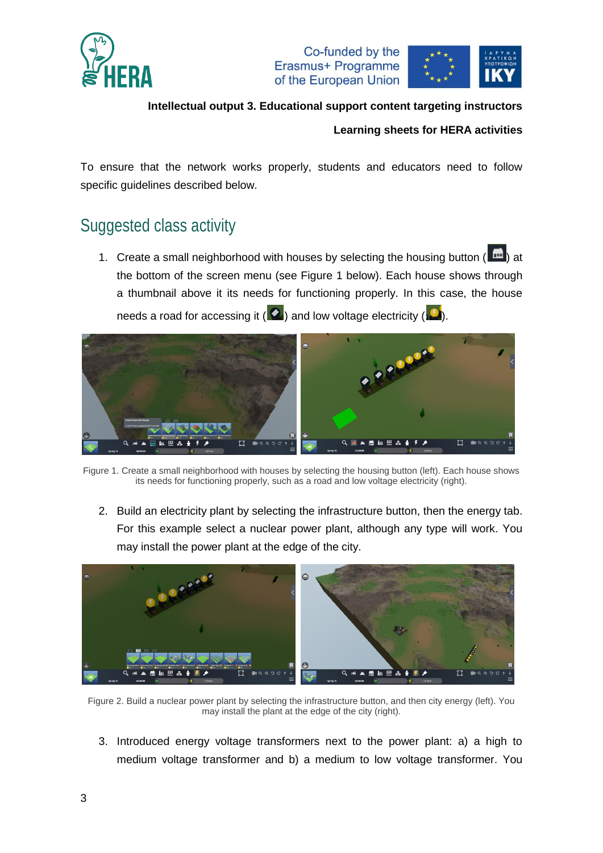



#### **Learning sheets for HERA activities**

To ensure that the network works properly, students and educators need to follow specific guidelines described below.

## Suggested class activity

1. Create a small neighborhood with houses by selecting the housing button ( $\left| \right|$ ) at the bottom of the screen menu (see [Figure 1](#page-2-0) below). Each house shows through a thumbnail above it its needs for functioning properly. In this case, the house needs a road for accessing it ( $\langle \rangle$ ) and low voltage electricity ( $\langle \rangle$ ).



Figure 1. Create a small neighborhood with houses by selecting the housing button (left). Each house shows its needs for functioning properly, such as a road and low voltage electricity (right).

<span id="page-2-0"></span>2. Build an electricity plant by selecting the infrastructure button, then the energy tab. For this example select a nuclear power plant, although any type will work. You may install the power plant at the edge of the city.



Figure 2. Build a nuclear power plant by selecting the infrastructure button, and then city energy (left). You may install the plant at the edge of the city (right).

3. Introduced energy voltage transformers next to the power plant: a) a high to medium voltage transformer and b) a medium to low voltage transformer. You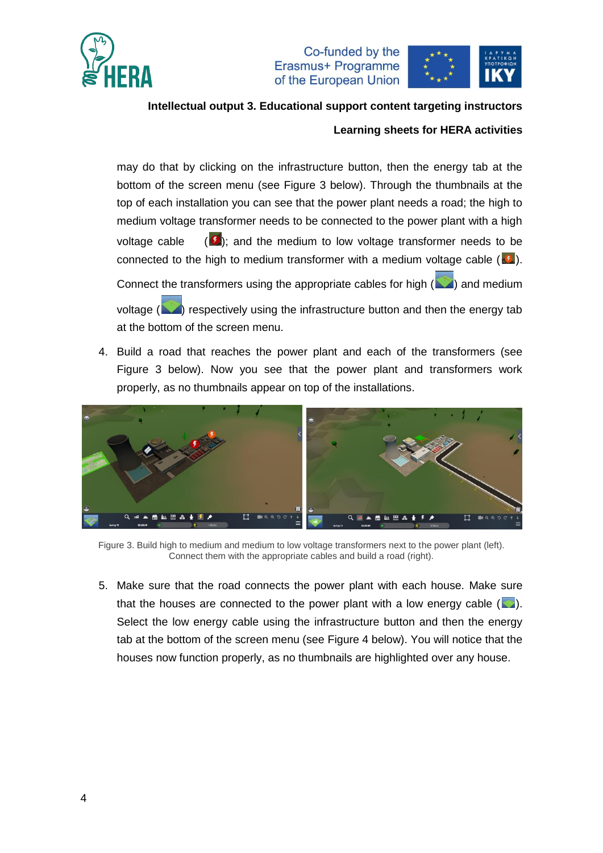

Co-funded by the Erasmus+ Programme of the European Union



# **Intellectual output 3. Educational support content targeting instructors**

#### **Learning sheets for HERA activities**

may do that by clicking on the infrastructure button, then the energy tab at the bottom of the screen menu (see [Figure 3](#page-3-0) below). Through the thumbnails at the top of each installation you can see that the power plant needs a road; the high to medium voltage transformer needs to be connected to the power plant with a high voltage cable  $\left( \frac{L}{2} \right)$ ; and the medium to low voltage transformer needs to be connected to the high to medium transformer with a medium voltage cable  $(\cdot)$ .

Connect the transformers using the appropriate cables for high  $($   $\blacksquare)$  and medium

voltage  $($   $\blacksquare)$  respectively using the infrastructure button and then the energy tab at the bottom of the screen menu.

4. Build a road that reaches the power plant and each of the transformers (see [Figure 3](#page-3-0) below). Now you see that the power plant and transformers work properly, as no thumbnails appear on top of the installations.



Figure 3. Build high to medium and medium to low voltage transformers next to the power plant (left). Connect them with the appropriate cables and build a road (right).

<span id="page-3-0"></span>5. Make sure that the road connects the power plant with each house. Make sure that the houses are connected to the power plant with a low energy cable  $(\Box)$ . Select the low energy cable using the infrastructure button and then the energy tab at the bottom of the screen menu (see [Figure 4](#page-4-0) below). You will notice that the houses now function properly, as no thumbnails are highlighted over any house.